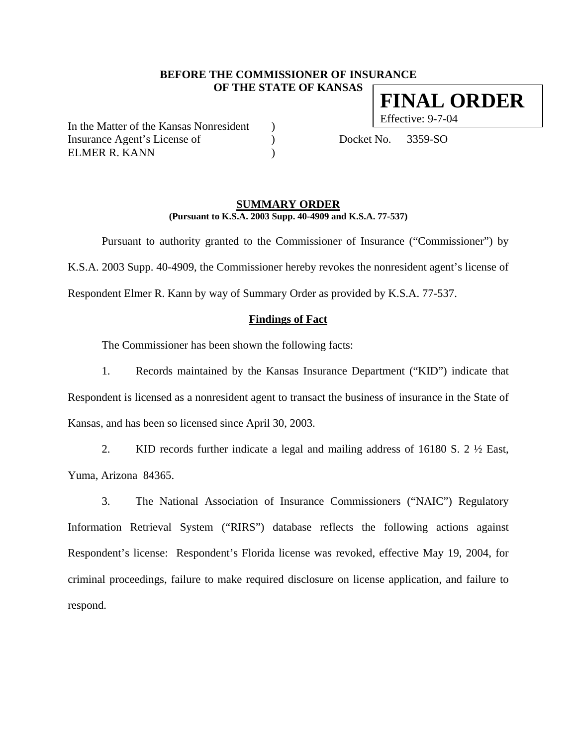# **BEFORE THE COMMISSIONER OF INSURANCE OF THE STATE OF KANSAS FINAL ORDER**

In the Matter of the Kansas Nonresident ) Effective: 9-7-04 Insurance Agent's License of (a) Docket No. 3359-SO ELMER R. KANN )

## **SUMMARY ORDER (Pursuant to K.S.A. 2003 Supp. 40-4909 and K.S.A. 77-537)**

Pursuant to authority granted to the Commissioner of Insurance ("Commissioner") by K.S.A. 2003 Supp. 40-4909, the Commissioner hereby revokes the nonresident agent's license of Respondent Elmer R. Kann by way of Summary Order as provided by K.S.A. 77-537.

## **Findings of Fact**

The Commissioner has been shown the following facts:

1. Records maintained by the Kansas Insurance Department ("KID") indicate that Respondent is licensed as a nonresident agent to transact the business of insurance in the State of Kansas, and has been so licensed since April 30, 2003.

2. KID records further indicate a legal and mailing address of 16180 S. 2 ½ East, Yuma, Arizona 84365.

3. The National Association of Insurance Commissioners ("NAIC") Regulatory Information Retrieval System ("RIRS") database reflects the following actions against Respondent's license: Respondent's Florida license was revoked, effective May 19, 2004, for criminal proceedings, failure to make required disclosure on license application, and failure to respond.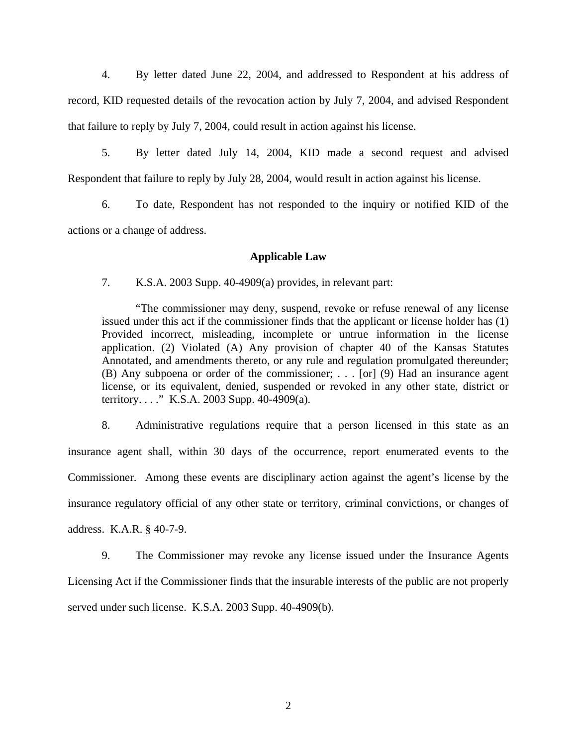4. By letter dated June 22, 2004, and addressed to Respondent at his address of record, KID requested details of the revocation action by July 7, 2004, and advised Respondent that failure to reply by July 7, 2004, could result in action against his license.

5. By letter dated July 14, 2004, KID made a second request and advised Respondent that failure to reply by July 28, 2004, would result in action against his license.

6. To date, Respondent has not responded to the inquiry or notified KID of the actions or a change of address.

# **Applicable Law**

7. K.S.A. 2003 Supp. 40-4909(a) provides, in relevant part:

"The commissioner may deny, suspend, revoke or refuse renewal of any license issued under this act if the commissioner finds that the applicant or license holder has (1) Provided incorrect, misleading, incomplete or untrue information in the license application. (2) Violated (A) Any provision of chapter 40 of the Kansas Statutes Annotated, and amendments thereto, or any rule and regulation promulgated thereunder; (B) Any subpoena or order of the commissioner; . . . [or] (9) Had an insurance agent license, or its equivalent, denied, suspended or revoked in any other state, district or territory. . . ." K.S.A. 2003 Supp. 40-4909(a).

8. Administrative regulations require that a person licensed in this state as an insurance agent shall, within 30 days of the occurrence, report enumerated events to the Commissioner. Among these events are disciplinary action against the agent's license by the insurance regulatory official of any other state or territory, criminal convictions, or changes of address. K.A.R. § 40-7-9.

9. The Commissioner may revoke any license issued under the Insurance Agents Licensing Act if the Commissioner finds that the insurable interests of the public are not properly served under such license. K.S.A. 2003 Supp. 40-4909(b).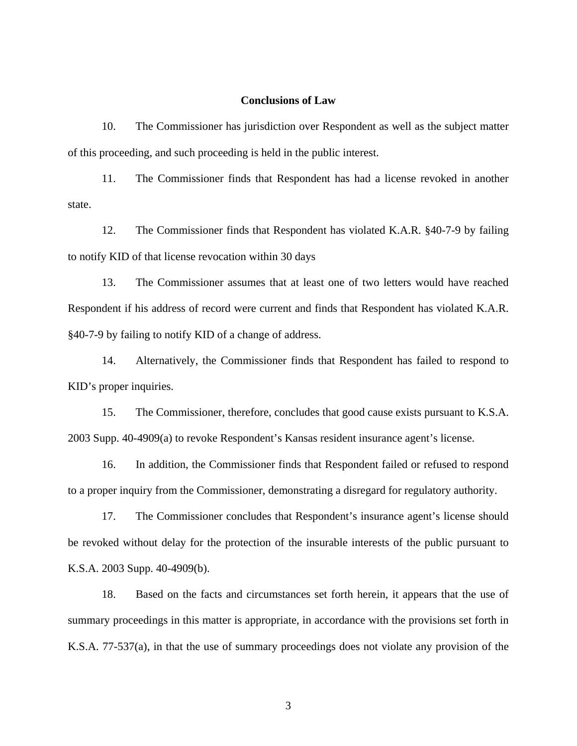#### **Conclusions of Law**

10. The Commissioner has jurisdiction over Respondent as well as the subject matter of this proceeding, and such proceeding is held in the public interest.

11. The Commissioner finds that Respondent has had a license revoked in another state.

12. The Commissioner finds that Respondent has violated K.A.R. §40-7-9 by failing to notify KID of that license revocation within 30 days

13. The Commissioner assumes that at least one of two letters would have reached Respondent if his address of record were current and finds that Respondent has violated K.A.R. §40-7-9 by failing to notify KID of a change of address.

14. Alternatively, the Commissioner finds that Respondent has failed to respond to KID's proper inquiries.

15. The Commissioner, therefore, concludes that good cause exists pursuant to K.S.A. 2003 Supp. 40-4909(a) to revoke Respondent's Kansas resident insurance agent's license.

16. In addition, the Commissioner finds that Respondent failed or refused to respond to a proper inquiry from the Commissioner, demonstrating a disregard for regulatory authority.

17. The Commissioner concludes that Respondent's insurance agent's license should be revoked without delay for the protection of the insurable interests of the public pursuant to K.S.A. 2003 Supp. 40-4909(b).

18. Based on the facts and circumstances set forth herein, it appears that the use of summary proceedings in this matter is appropriate, in accordance with the provisions set forth in K.S.A. 77-537(a), in that the use of summary proceedings does not violate any provision of the

3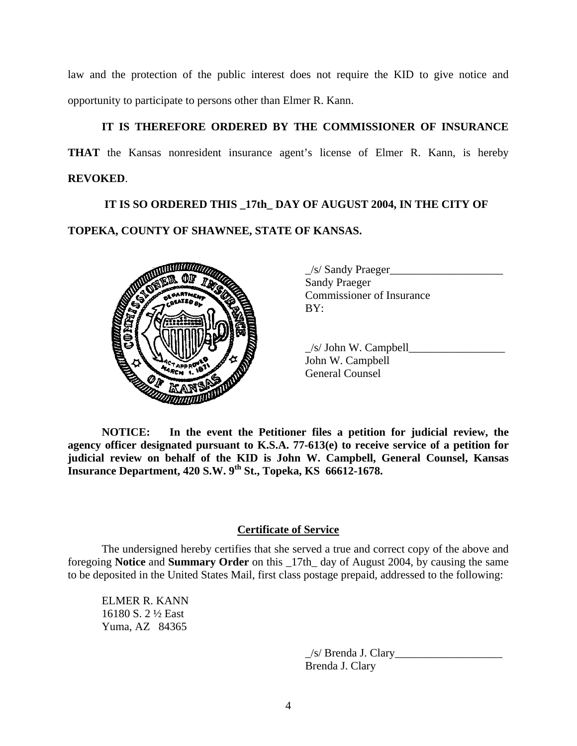law and the protection of the public interest does not require the KID to give notice and opportunity to participate to persons other than Elmer R. Kann.

# **IT IS THEREFORE ORDERED BY THE COMMISSIONER OF INSURANCE**

**THAT** the Kansas nonresident insurance agent's license of Elmer R. Kann, is hereby **REVOKED**.

 **IT IS SO ORDERED THIS \_17th\_ DAY OF AUGUST 2004, IN THE CITY OF TOPEKA, COUNTY OF SHAWNEE, STATE OF KANSAS.** 



| /s/ Sandy Praeger                |  |
|----------------------------------|--|
| <b>Sandy Praeger</b>             |  |
| <b>Commissioner of Insurance</b> |  |
| BY:                              |  |
|                                  |  |

 $\angle$ s/ John W. Campbell $\angle$ John W. Campbell General Counsel

**NOTICE: In the event the Petitioner files a petition for judicial review, the agency officer designated pursuant to K.S.A. 77-613(e) to receive service of a petition for judicial review on behalf of the KID is John W. Campbell, General Counsel, Kansas Insurance Department, 420 S.W. 9th St., Topeka, KS 66612-1678.** 

# **Certificate of Service**

The undersigned hereby certifies that she served a true and correct copy of the above and foregoing **Notice** and **Summary Order** on this \_17th\_ day of August 2004, by causing the same to be deposited in the United States Mail, first class postage prepaid, addressed to the following:

ELMER R. KANN 16180 S. 2 ½ East Yuma, AZ 84365

> $\angle$ s/ Brenda J. Clary Brenda J. Clary